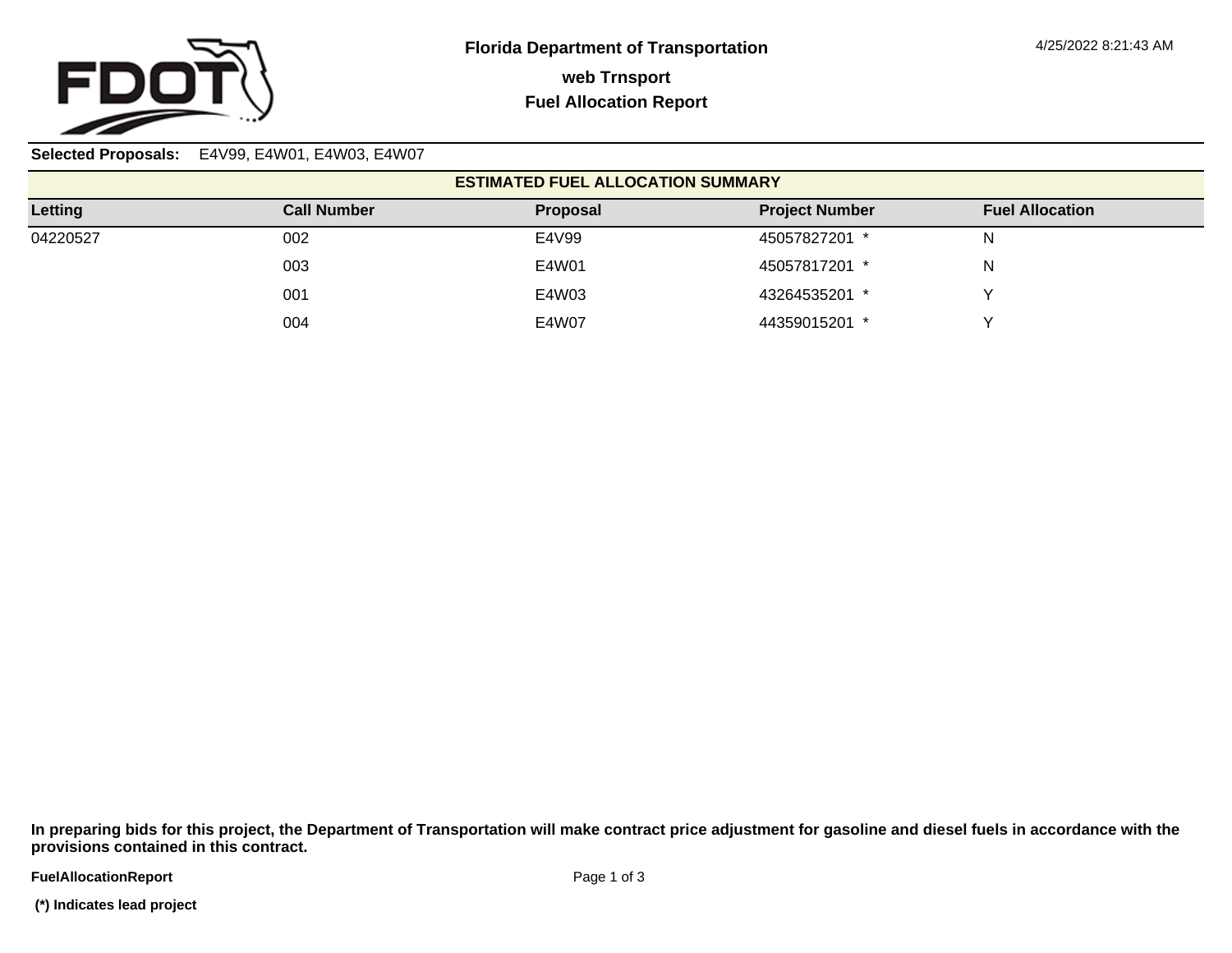

**Selected Proposals:** E4V99, E4W01, E4W03, E4W07

| <b>ESTIMATED FUEL ALLOCATION SUMMARY</b> |                    |          |                       |                        |  |  |
|------------------------------------------|--------------------|----------|-----------------------|------------------------|--|--|
| Letting                                  | <b>Call Number</b> | Proposal | <b>Project Number</b> | <b>Fuel Allocation</b> |  |  |
| 04220527                                 | 002                | E4V99    | 45057827201 *         | N                      |  |  |
|                                          | 003                | E4W01    | 45057817201 *         | N                      |  |  |
|                                          | 001                | E4W03    | 43264535201 *         |                        |  |  |
|                                          | 004                | E4W07    | 44359015201 *         |                        |  |  |

**In preparing bids for this project, the Department of Transportation will make contract price adjustment for gasoline and diesel fuels in accordance with the provisions contained in this contract.**

**FuelAllocationReport**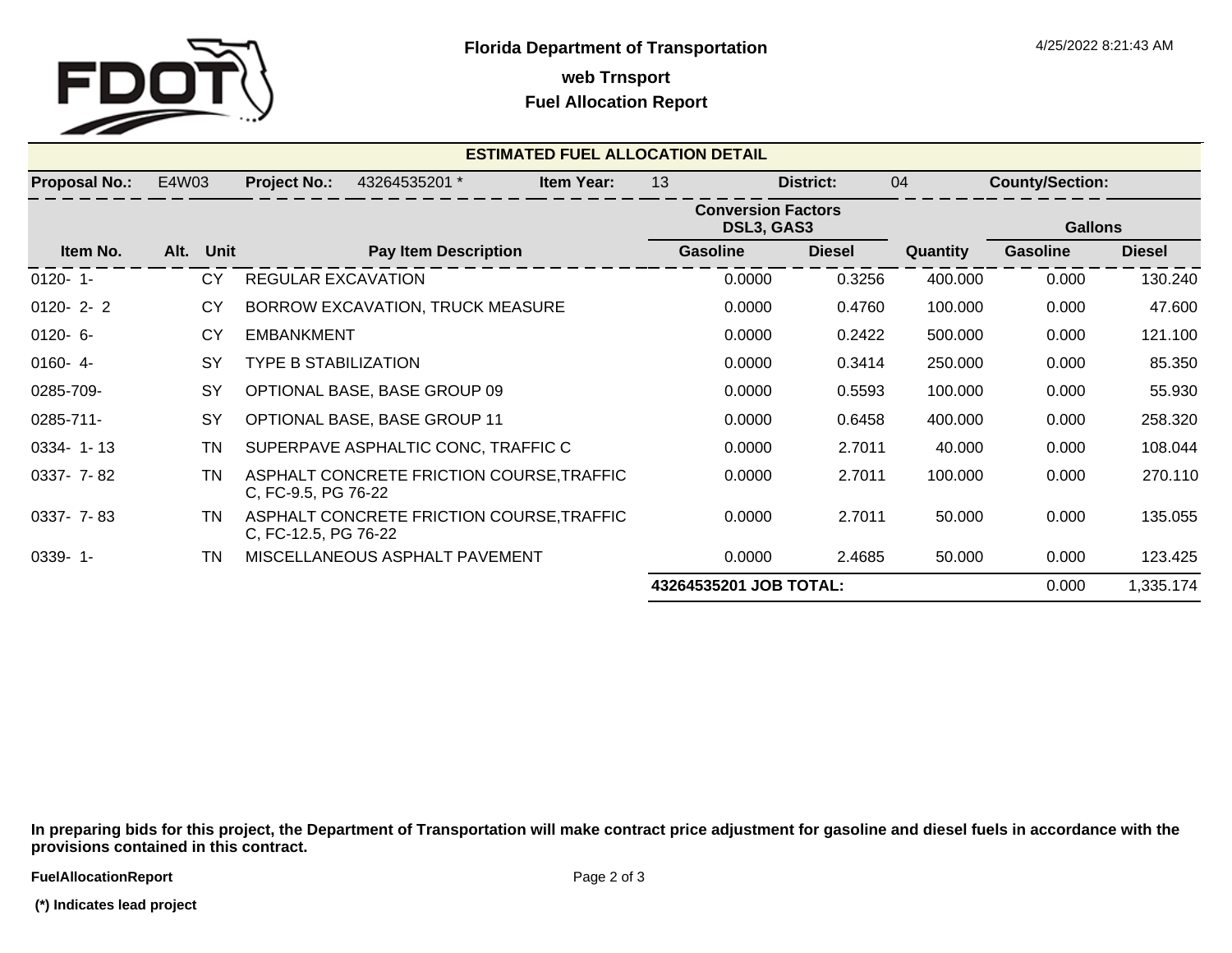

**web Trnsport**

## **Fuel Allocation Report**

| <b>ESTIMATED FUEL ALLOCATION DETAIL</b> |                        |                             |                                           |                   |                                         |               |          |                        |                |  |
|-----------------------------------------|------------------------|-----------------------------|-------------------------------------------|-------------------|-----------------------------------------|---------------|----------|------------------------|----------------|--|
| <b>Proposal No.:</b>                    | E4W03                  | <b>Project No.:</b>         | 43264535201 *                             | <b>Item Year:</b> | 13                                      | District:     | 04       | <b>County/Section:</b> |                |  |
|                                         |                        |                             |                                           |                   | <b>Conversion Factors</b><br>DSL3, GAS3 |               |          |                        | <b>Gallons</b> |  |
| Item No.                                | Alt. Unit              |                             | <b>Pay Item Description</b>               |                   | <b>Gasoline</b>                         | <b>Diesel</b> | Quantity | <b>Gasoline</b>        | <b>Diesel</b>  |  |
| $0120 - 1$                              | <b>CY</b>              | <b>REGULAR EXCAVATION</b>   |                                           |                   | 0.0000                                  | 0.3256        | 400.000  | 0.000                  | 130.240        |  |
| $0120 - 2 - 2$                          | CY                     |                             | BORROW EXCAVATION, TRUCK MEASURE          |                   | 0.0000                                  | 0.4760        | 100.000  | 0.000                  | 47.600         |  |
| $0120 - 6 -$                            | CY                     | <b>EMBANKMENT</b>           |                                           |                   | 0.0000                                  | 0.2422        | 500.000  | 0.000                  | 121.100        |  |
| $0160 - 4$                              | SY                     | <b>TYPE B STABILIZATION</b> |                                           |                   | 0.0000                                  | 0.3414        | 250.000  | 0.000                  | 85.350         |  |
| 0285-709-                               | SY                     |                             | OPTIONAL BASE, BASE GROUP 09              |                   | 0.0000                                  | 0.5593        | 100.000  | 0.000                  | 55.930         |  |
| 0285-711-                               | SY                     |                             | <b>OPTIONAL BASE, BASE GROUP 11</b>       |                   | 0.0000                                  | 0.6458        | 400.000  | 0.000                  | 258.320        |  |
| $0334 - 1 - 13$                         | ΤN                     |                             | SUPERPAVE ASPHALTIC CONC, TRAFFIC C       |                   | 0.0000                                  | 2.7011        | 40.000   | 0.000                  | 108.044        |  |
| 0337- 7-82                              | TN                     | C, FC-9.5, PG 76-22         | ASPHALT CONCRETE FRICTION COURSE, TRAFFIC |                   | 0.0000                                  | 2.7011        | 100.000  | 0.000                  | 270.110        |  |
| 0337- 7-83                              | ΤN                     | C, FC-12.5, PG 76-22        | ASPHALT CONCRETE FRICTION COURSE, TRAFFIC |                   | 0.0000                                  | 2.7011        | 50.000   | 0.000                  | 135.055        |  |
| $0339 - 1 -$                            | TN                     |                             | MISCELLANEOUS ASPHALT PAVEMENT            |                   | 0.0000                                  | 2.4685        | 50.000   | 0.000                  | 123.425        |  |
|                                         | 43264535201 JOB TOTAL: |                             |                                           |                   |                                         |               | 0.000    | 1,335.174              |                |  |

**In preparing bids for this project, the Department of Transportation will make contract price adjustment for gasoline and diesel fuels in accordance with the provisions contained in this contract.**

 **(\*) Indicates lead project**